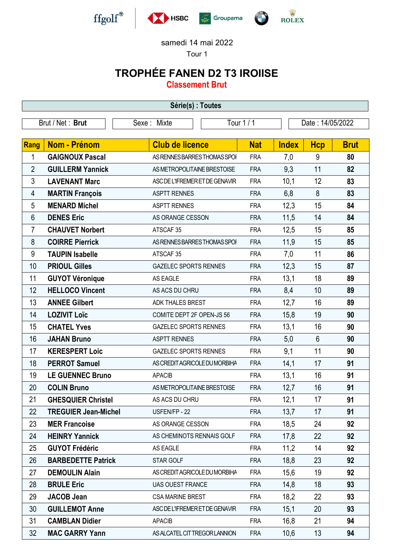

## samedi 14 mai 2022

Tour 1

## TROPHÉE FANEN D2 T3 IROIISE

Classement Brut

| Série(s) : Toutes |                                 |                                |            |              |                  |             |  |
|-------------------|---------------------------------|--------------------------------|------------|--------------|------------------|-------------|--|
|                   | Brut / Net: Brut<br>Sexe: Mixte |                                | Tour 1 / 1 |              | Date: 14/05/2022 |             |  |
|                   |                                 |                                |            |              |                  |             |  |
| Rang              | <b>Nom - Prénom</b>             | <b>Club de licence</b>         | <b>Nat</b> | <b>Index</b> | <b>Hcp</b>       | <b>Brut</b> |  |
| 1                 | <b>GAIGNOUX Pascal</b>          | AS RENNES BARRES THOMAS SPOI   | <b>FRA</b> | 7,0          | 9                | 80          |  |
| $\overline{2}$    | <b>GUILLERM Yannick</b>         | AS METROPOLITAINE BRESTOISE    | <b>FRA</b> | 9,3          | 11               | 82          |  |
| 3                 | <b>LAVENANT Marc</b>            | ASC DE L'IFREMER ET DE GENAVIR | <b>FRA</b> | 10,1         | 12               | 83          |  |
| 4                 | <b>MARTIN François</b>          | <b>ASPTT RENNES</b>            | <b>FRA</b> | 6,8          | 8                | 83          |  |
| 5                 | <b>MENARD Michel</b>            | <b>ASPTT RENNES</b>            | <b>FRA</b> | 12,3         | 15               | 84          |  |
| 6                 | <b>DENES Eric</b>               | AS ORANGE CESSON               | <b>FRA</b> | 11,5         | 14               | 84          |  |
| 7                 | <b>CHAUVET Norbert</b>          | ATSCAF <sub>35</sub>           | <b>FRA</b> | 12,5         | 15               | 85          |  |
| 8                 | <b>COIRRE Pierrick</b>          | AS RENNES BARRES THOMAS SPOI   | <b>FRA</b> | 11,9         | 15               | 85          |  |
| 9                 | <b>TAUPIN Isabelle</b>          | ATSCAF 35                      | <b>FRA</b> | 7,0          | 11               | 86          |  |
| 10                | <b>PRIOUL Gilles</b>            | <b>GAZELEC SPORTS RENNES</b>   | <b>FRA</b> | 12,3         | 15               | 87          |  |
| 11                | <b>GUYOT Véronique</b>          | AS EAGLE                       | <b>FRA</b> | 13,1         | 18               | 89          |  |
| 12                | <b>HELLOCO Vincent</b>          | AS ACS DU CHRU                 | <b>FRA</b> | 8,4          | 10               | 89          |  |
| 13                | <b>ANNEE Gilbert</b>            | ADK THALES BREST               | <b>FRA</b> | 12,7         | 16               | 89          |  |
| 14                | <b>LOZIVIT Loïc</b>             | COMITE DEPT 2F OPEN-JS 56      | <b>FRA</b> | 15,8         | 19               | 90          |  |
| 15                | <b>CHATEL Yves</b>              | <b>GAZELEC SPORTS RENNES</b>   | <b>FRA</b> | 13,1         | 16               | 90          |  |
| 16                | <b>JAHAN Bruno</b>              | <b>ASPTT RENNES</b>            | <b>FRA</b> | 5,0          | $6\phantom{1}$   | 90          |  |
| 17                | <b>KERESPERT Loic</b>           | <b>GAZELEC SPORTS RENNES</b>   | <b>FRA</b> | 9,1          | 11               | 90          |  |
| 18                | <b>PERROT Samuel</b>            | AS CREDIT AGRICOLE DU MORBIHA  | <b>FRA</b> | 14,1         | 17               | 91          |  |
| 19                | <b>LE GUENNEC Bruno</b>         | <b>APACIB</b>                  | <b>FRA</b> | 13,1         | 16               | 91          |  |
| 20                | <b>COLIN Bruno</b>              | AS METROPOLITAINE BRESTOISE    | <b>FRA</b> | 12,7         | 16               | 91          |  |
| 21                | <b>GHESQUIER Christel</b>       | AS ACS DU CHRU                 | <b>FRA</b> | 12,1         | 17               | 91          |  |
| 22                | <b>TREGUIER Jean-Michel</b>     | USFEN/FP - 22                  | <b>FRA</b> | 13,7         | 17               | 91          |  |
| 23                | <b>MER Francoise</b>            | AS ORANGE CESSON               | <b>FRA</b> | 18,5         | 24               | 92          |  |
| 24                | <b>HEINRY Yannick</b>           | AS CHEMINOTS RENNAIS GOLF      | <b>FRA</b> | 17,8         | 22               | 92          |  |
| 25                | <b>GUYOT Frédéric</b>           | AS EAGLE                       | <b>FRA</b> | 11,2         | 14               | 92          |  |
| 26                | <b>BARBEDETTE Patrick</b>       | STAR GOLF                      | <b>FRA</b> | 18,8         | 23               | 92          |  |
| 27                | <b>DEMOULIN Alain</b>           | AS CREDIT AGRICOLE DU MORBIHA  | <b>FRA</b> | 15,6         | 19               | 92          |  |
| 28                | <b>BRULE Eric</b>               | <b>UAS OUEST FRANCE</b>        | <b>FRA</b> | 14,8         | 18               | 93          |  |
| 29                | <b>JACOB Jean</b>               | <b>CSA MARINE BREST</b>        | <b>FRA</b> | 18,2         | 22               | 93          |  |
| 30                | <b>GUILLEMOT Anne</b>           | ASC DE L'IFREMER ET DE GENAVIR | <b>FRA</b> | 15,1         | 20               | 93          |  |
| 31                | <b>CAMBLAN Didier</b>           | <b>APACIB</b>                  | <b>FRA</b> | 16,8         | 21               | 94          |  |
| 32                | <b>MAC GARRY Yann</b>           | AS ALCATEL CIT TREGOR LANNION  | <b>FRA</b> | 10,6         | 13               | 94          |  |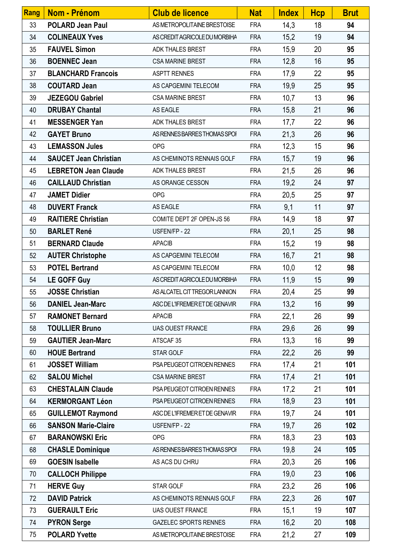| Rang | <b>Nom - Prénom</b>          | <b>Club de licence</b>         | <b>Nat</b> | <b>Index</b> | <b>Hcp</b> | <b>Brut</b> |
|------|------------------------------|--------------------------------|------------|--------------|------------|-------------|
| 33   | <b>POLARD Jean Paul</b>      | AS METROPOLITAINE BRESTOISE    | <b>FRA</b> | 14,3         | 18         | 94          |
| 34   | <b>COLINEAUX Yves</b>        | AS CREDIT AGRICOLE DU MORBIHA  | <b>FRA</b> | 15,2         | 19         | 94          |
| 35   | <b>FAUVEL Simon</b>          | ADK THALES BREST               | <b>FRA</b> | 15,9         | 20         | 95          |
| 36   | <b>BOENNEC Jean</b>          | <b>CSA MARINE BREST</b>        | <b>FRA</b> | 12,8         | 16         | 95          |
| 37   | <b>BLANCHARD Francois</b>    | <b>ASPTT RENNES</b>            | <b>FRA</b> | 17,9         | 22         | 95          |
| 38   | <b>COUTARD Jean</b>          | AS CAPGEMINI TELECOM           | <b>FRA</b> | 19,9         | 25         | 95          |
| 39   | <b>JEZEGOU Gabriel</b>       | <b>CSA MARINE BREST</b>        | <b>FRA</b> | 10,7         | 13         | 96          |
| 40   | <b>DRUBAY Chantal</b>        | AS EAGLE                       | <b>FRA</b> | 15,8         | 21         | 96          |
| 41   | <b>MESSENGER Yan</b>         | ADK THALES BREST               | <b>FRA</b> | 17,7         | 22         | 96          |
| 42   | <b>GAYET Bruno</b>           | AS RENNES BARRES THOMAS SPOI   | <b>FRA</b> | 21,3         | 26         | 96          |
| 43   | <b>LEMASSON Jules</b>        | <b>OPG</b>                     | <b>FRA</b> | 12,3         | 15         | 96          |
| 44   | <b>SAUCET Jean Christian</b> | AS CHEMINOTS RENNAIS GOLF      | <b>FRA</b> | 15,7         | 19         | 96          |
| 45   | <b>LEBRETON Jean Claude</b>  | ADK THALES BREST               | <b>FRA</b> | 21,5         | 26         | 96          |
| 46   | <b>CAILLAUD Christian</b>    | AS ORANGE CESSON               | <b>FRA</b> | 19,2         | 24         | 97          |
| 47   | <b>JAMET Didier</b>          | <b>OPG</b>                     | <b>FRA</b> | 20,5         | 25         | 97          |
| 48   | <b>DUVERT Franck</b>         | AS EAGLE                       | <b>FRA</b> | 9,1          | 11         | 97          |
| 49   | <b>RAITIERE Christian</b>    | COMITE DEPT 2F OPEN-JS 56      | <b>FRA</b> | 14,9         | 18         | 97          |
| 50   | <b>BARLET René</b>           | USFEN/FP - 22                  | <b>FRA</b> | 20,1         | 25         | 98          |
| 51   | <b>BERNARD Claude</b>        | <b>APACIB</b>                  | <b>FRA</b> | 15,2         | 19         | 98          |
| 52   | <b>AUTER Christophe</b>      | AS CAPGEMINI TELECOM           | <b>FRA</b> | 16,7         | 21         | 98          |
| 53   | <b>POTEL Bertrand</b>        | AS CAPGEMINI TELECOM           | <b>FRA</b> | 10,0         | 12         | 98          |
| 54   | <b>LE GOFF Guy</b>           | AS CREDIT AGRICOLE DU MORBIHA  | <b>FRA</b> | 11,9         | 15         | 99          |
| 55   | <b>JOSSE Christian</b>       | AS ALCATEL CIT TREGOR LANNION  | <b>FRA</b> | 20,4         | 25         | 99          |
| 56   | <b>DANIEL Jean-Marc</b>      | ASC DE L'IFREMER ET DE GENAVIR | <b>FRA</b> | 13,2         | 16         | 99          |
| 57   | <b>RAMONET Bernard</b>       | <b>APACIB</b>                  | <b>FRA</b> | 22,1         | 26         | 99          |
| 58   | <b>TOULLIER Bruno</b>        | UAS OUEST FRANCE               | <b>FRA</b> | 29,6         | 26         | 99          |
| 59   | <b>GAUTIER Jean-Marc</b>     | ATSCAF 35                      | <b>FRA</b> | 13,3         | 16         | 99          |
| 60   | <b>HOUE Bertrand</b>         | STAR GOLF                      | <b>FRA</b> | 22,2         | 26         | 99          |
| 61   | <b>JOSSET William</b>        | PSA PEUGEOT CITROEN RENNES     | <b>FRA</b> | 17,4         | 21         | 101         |
| 62   | <b>SALOU Michel</b>          | <b>CSA MARINE BREST</b>        | <b>FRA</b> | 17,4         | 21         | 101         |
| 63   | <b>CHESTALAIN Claude</b>     | PSA PEUGEOT CITROEN RENNES     | <b>FRA</b> | 17,2         | 21         | 101         |
| 64   | <b>KERMORGANT Léon</b>       | PSA PEUGEOT CITROEN RENNES     | <b>FRA</b> | 18,9         | 23         | 101         |
| 65   | <b>GUILLEMOT Raymond</b>     | ASC DE L'IFREMER ET DE GENAVIR | <b>FRA</b> | 19,7         | 24         | 101         |
| 66   | <b>SANSON Marie-Claire</b>   | USFEN/FP - 22                  | <b>FRA</b> | 19,7         | 26         | 102         |
| 67   | <b>BARANOWSKI Eric</b>       | <b>OPG</b>                     | <b>FRA</b> | 18,3         | 23         | 103         |
| 68   | <b>CHASLE Dominique</b>      | AS RENNES BARRES THOMAS SPOI   | <b>FRA</b> | 19,8         | 24         | 105         |
| 69   | <b>GOESIN Isabelle</b>       | AS ACS DU CHRU                 | <b>FRA</b> | 20,3         | 26         | 106         |
| 70   | <b>CALLOCH Philippe</b>      |                                | <b>FRA</b> | 19,0         | 23         | 106         |
| 71   | <b>HERVE Guy</b>             | STAR GOLF                      | <b>FRA</b> | 23,2         | 26         | 106         |
| 72   | <b>DAVID Patrick</b>         | AS CHEMINOTS RENNAIS GOLF      | <b>FRA</b> | 22,3         | 26         | 107         |
| 73   | <b>GUERAULT Eric</b>         | <b>UAS OUEST FRANCE</b>        | <b>FRA</b> | 15,1         | 19         | 107         |
| 74   | <b>PYRON Serge</b>           | <b>GAZELEC SPORTS RENNES</b>   | <b>FRA</b> | 16,2         | 20         | 108         |
| 75   | <b>POLARD Yvette</b>         | AS METROPOLITAINE BRESTOISE    | <b>FRA</b> | 21,2         | 27         | 109         |